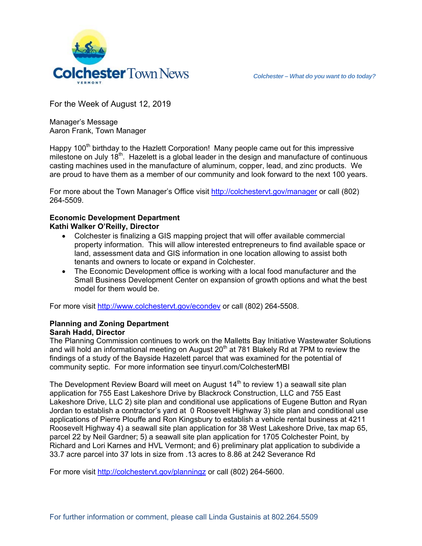

For the Week of August 12, 2019

Manager's Message Aaron Frank, Town Manager

Happy 100<sup>th</sup> birthday to the Hazlett Corporation! Many people came out for this impressive milestone on July  $18<sup>th</sup>$ . Hazelett is a global leader in the design and manufacture of continuous casting machines used in the manufacture of aluminum, copper, lead, and zinc products. We are proud to have them as a member of our community and look forward to the next 100 years.

For more about the Town Manager's Office visit http://colchestervt.gov/manager or call (802) 264-5509.

## **Economic Development Department Kathi Walker O'Reilly, Director**

- Colchester is finalizing a GIS mapping project that will offer available commercial property information. This will allow interested entrepreneurs to find available space or land, assessment data and GIS information in one location allowing to assist both tenants and owners to locate or expand in Colchester.
- The Economic Development office is working with a local food manufacturer and the Small Business Development Center on expansion of growth options and what the best model for them would be.

For more visit http://www.colchestervt.gov/econdev or call (802) 264-5508.

## **Planning and Zoning Department Sarah Hadd, Director**

The Planning Commission continues to work on the Malletts Bay Initiative Wastewater Solutions and will hold an informational meeting on August  $20<sup>th</sup>$  at 781 Blakely Rd at 7PM to review the findings of a study of the Bayside Hazelett parcel that was examined for the potential of community septic. For more information see tinyurl.com/ColchesterMBI

The Development Review Board will meet on August  $14<sup>th</sup>$  to review 1) a seawall site plan application for 755 East Lakeshore Drive by Blackrock Construction, LLC and 755 East Lakeshore Drive, LLC 2) site plan and conditional use applications of Eugene Button and Ryan Jordan to establish a contractor's yard at 0 Roosevelt Highway 3) site plan and conditional use applications of Pierre Plouffe and Ron Kingsbury to establish a vehicle rental business at 4211 Roosevelt Highway 4) a seawall site plan application for 38 West Lakeshore Drive, tax map 65, parcel 22 by Neil Gardner; 5) a seawall site plan application for 1705 Colchester Point, by Richard and Lori Karnes and HVL Vermont; and 6) preliminary plat application to subdivide a 33.7 acre parcel into 37 lots in size from .13 acres to 8.86 at 242 Severance Rd

For more visit http://colchestervt.gov/planningz or call (802) 264-5600.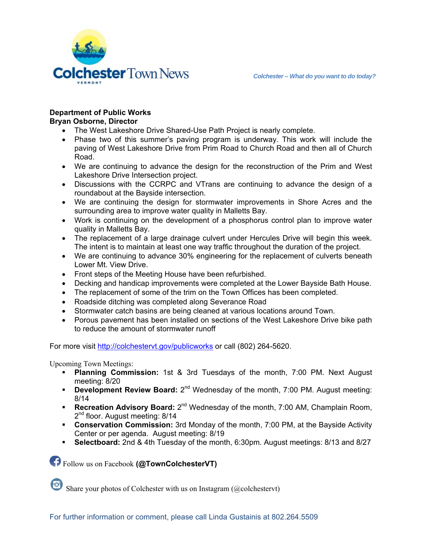

## **Department of Public Works**

## **Bryan Osborne, Director**

- The West Lakeshore Drive Shared-Use Path Project is nearly complete.
- Phase two of this summer's paving program is underway. This work will include the paving of West Lakeshore Drive from Prim Road to Church Road and then all of Church Road.
- We are continuing to advance the design for the reconstruction of the Prim and West Lakeshore Drive Intersection project.
- Discussions with the CCRPC and VTrans are continuing to advance the design of a roundabout at the Bayside intersection.
- We are continuing the design for stormwater improvements in Shore Acres and the surrounding area to improve water quality in Malletts Bay.
- Work is continuing on the development of a phosphorus control plan to improve water quality in Malletts Bay.
- The replacement of a large drainage culvert under Hercules Drive will begin this week. The intent is to maintain at least one way traffic throughout the duration of the project.
- We are continuing to advance 30% engineering for the replacement of culverts beneath Lower Mt. View Drive.
- Front steps of the Meeting House have been refurbished.
- Decking and handicap improvements were completed at the Lower Bayside Bath House.
- The replacement of some of the trim on the Town Offices has been completed.
- Roadside ditching was completed along Severance Road
- Stormwater catch basins are being cleaned at various locations around Town.
- Porous pavement has been installed on sections of the West Lakeshore Drive bike path to reduce the amount of stormwater runoff

For more visit http://colchestervt.gov/publicworks or call (802) 264-5620.

Upcoming Town Meetings:

- **Planning Commission:** 1st & 3rd Tuesdays of the month, 7:00 PM. Next August meeting: 8/20
- **Development Review Board:** 2<sup>nd</sup> Wednesday of the month, 7:00 PM. August meeting: 8/14
- **Recreation Advisory Board:** 2<sup>nd</sup> Wednesday of the month, 7:00 AM, Champlain Room, 2<sup>nd</sup> floor. August meeting: 8/14
- **Conservation Commission:** 3rd Monday of the month, 7:00 PM, at the Bayside Activity Center or per agenda. August meeting: 8/19
- **Selectboard:** 2nd & 4th Tuesday of the month, 6:30pm. August meetings: 8/13 and 8/27

Follow us on Facebook **(@TownColchesterVT)** 

 $\bullet$ Share your photos of Colchester with us on Instagram (@colchestervt)